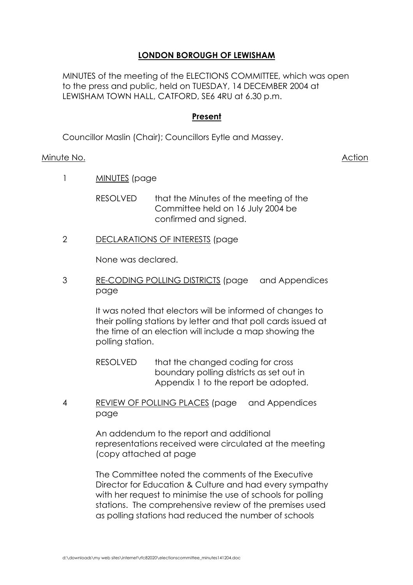# **LONDON BOROUGH OF LEWISHAM**

MINUTES of the meeting of the ELECTIONS COMMITTEE, which was open to the press and public, held on TUESDAY, 14 DECEMBER 2004 at LEWISHAM TOWN HALL, CATFORD, SE6 4RU at 6.30 p.m.

### **Present**

Councillor Maslin (Chair); Councillors Eytle and Massey.

### Minute No. **Action**

1 **MINUTES** (page

RESOLVED that the Minutes of the meeting of the Committee held on 16 July 2004 be confirmed and signed.

2 DECLARATIONS OF INTERESTS (page

None was declared.

3 RE-CODING POLLING DISTRICTS (page and Appendices page

> It was noted that electors will be informed of changes to their polling stations by letter and that poll cards issued at the time of an election will include a map showing the polling station.

RESOLVED that the changed coding for cross boundary polling districts as set out in Appendix 1 to the report be adopted.

4 REVIEW OF POLLING PLACES (page and Appendices page

> An addendum to the report and additional representations received were circulated at the meeting (copy attached at page

 The Committee noted the comments of the Executive Director for Education & Culture and had every sympathy with her request to minimise the use of schools for polling stations. The comprehensive review of the premises used as polling stations had reduced the number of schools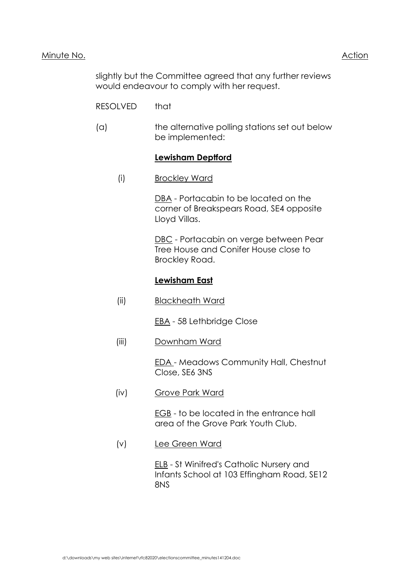### Minute No. **Action**

 slightly but the Committee agreed that any further reviews would endeavour to comply with her request.

- RESOLVED that
- (a) the alternative polling stations set out below be implemented:

# **Lewisham Deptford**

(i) Brockley Ward

DBA - Portacabin to be located on the corner of Breakspears Road, SE4 opposite Lloyd Villas.

 DBC - Portacabin on verge between Pear Tree House and Conifer House close to Brockley Road.

# **Lewisham East**

(ii) Blackheath Ward

EBA - 58 Lethbridge Close

(iii) Downham Ward

EDA - Meadows Community Hall, Chestnut Close, SE6 3NS

(iv) Grove Park Ward

EGB - to be located in the entrance hall area of the Grove Park Youth Club.

(v) Lee Green Ward

ELB - St Winifred's Catholic Nursery and Infants School at 103 Effingham Road, SE12 8NS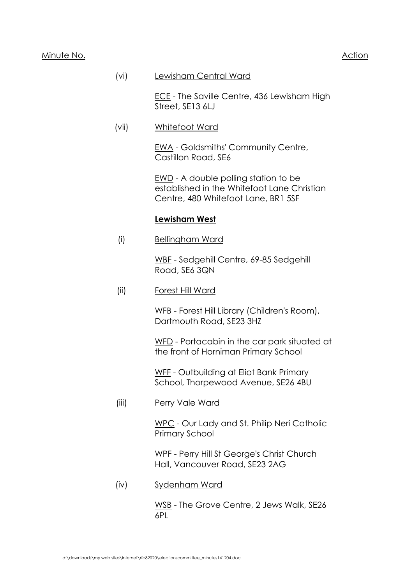### Minute No. **Action**

### (vi) Lewisham Central Ward

ECE - The Saville Centre, 436 Lewisham High Street, SE13 6LJ

(vii) Whitefoot Ward

EWA - Goldsmiths' Community Centre, Castillon Road, SE6

 EWD - A double polling station to be established in the Whitefoot Lane Christian Centre, 480 Whitefoot Lane, BR1 5SF

### **Lewisham West**

(i) Bellingham Ward

WBF - Sedgehill Centre, 69-85 Sedgehill Road, SE6 3QN

(ii) Forest Hill Ward

WFB - Forest Hill Library (Children's Room), Dartmouth Road, SE23 3HZ

WFD - Portacabin in the car park situated at the front of Horniman Primary School

WFF - Outbuilding at Eliot Bank Primary School, Thorpewood Avenue, SE26 4BU

(iii) Perry Vale Ward

WPC - Our Lady and St. Philip Neri Catholic Primary School

WPF - Perry Hill St George's Christ Church Hall, Vancouver Road, SE23 2AG

(iv) Sydenham Ward

WSB - The Grove Centre, 2 Jews Walk, SE26 6PL